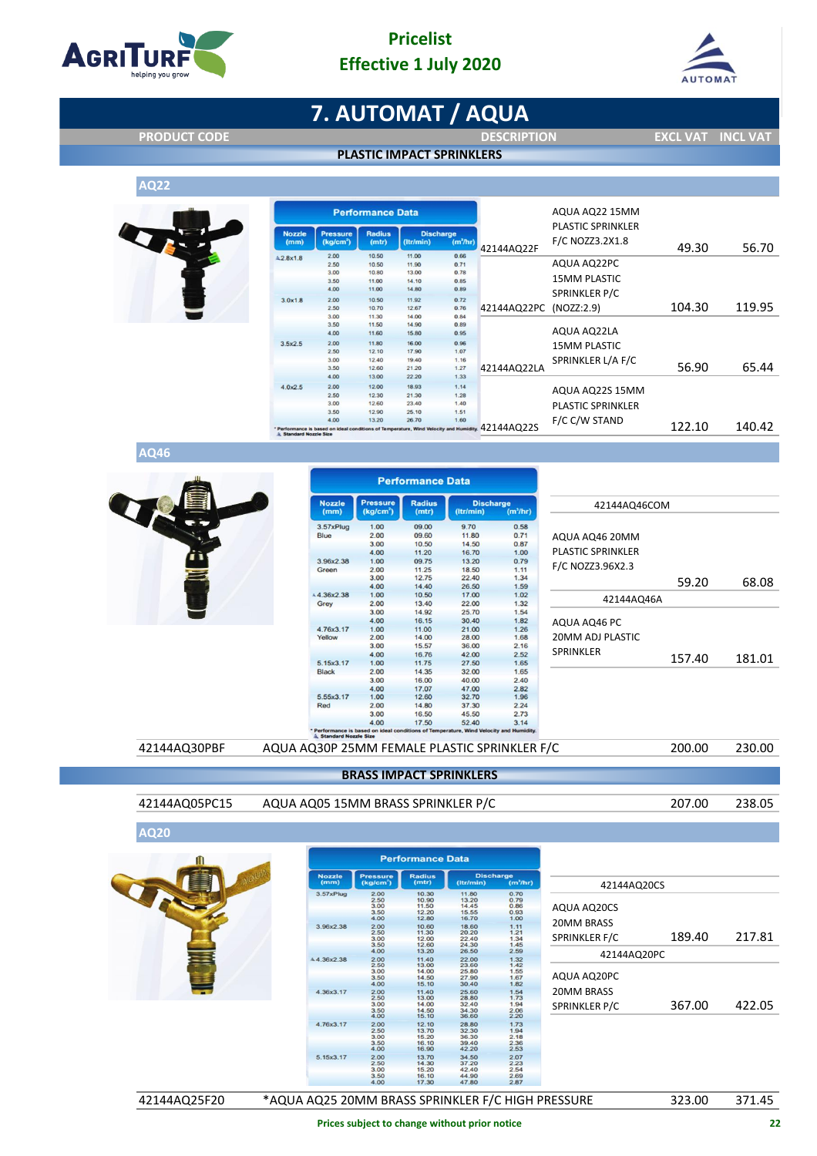

#### **Pricelist Effective 1 July 2020**



# **7. AUTOMAT / AQUA**

**PRODUCT CODE DESCRIPTION EXCL VAT INCL VAT**

**AQ22**

|  | <b>PLASTIC IMPACT SPRINKLERS</b> |
|--|----------------------------------|
|  |                                  |



|                        |                                          | <b>Performance Data</b> |                                                                                        |                      |             | AQUA AQ22 15MM                                    |        |        |
|------------------------|------------------------------------------|-------------------------|----------------------------------------------------------------------------------------|----------------------|-------------|---------------------------------------------------|--------|--------|
| <b>Nozzle</b><br>(mm)  | <b>Pressure</b><br>(kq/cm <sup>2</sup> ) | <b>Radius</b><br>(mtr)  | <b>Discharge</b><br>(ltr/min)                                                          | (m <sup>3</sup> /hr) | 42144AQ22F  | <b>PLASTIC SPRINKLER</b><br>F/C NOZZ3.2X1.8       | 49.30  | 56.70  |
| \$2.8x1.8              | 2.00                                     | 10.50                   | 11.00                                                                                  | 0.66                 |             |                                                   |        |        |
|                        | 2.50                                     | 10.50                   | 11.90                                                                                  | 0.71                 |             | AQUA AQ22PC                                       |        |        |
|                        | 3.00                                     | 10.80                   | 13.00                                                                                  | 0.78                 |             | <b>15MM PLASTIC</b><br>SPRINKLER P/C<br>NOZZ:2.9) |        |        |
|                        | 3.50                                     | 11.00                   | 14.10                                                                                  | 0.85                 |             |                                                   |        |        |
|                        | 4.00                                     | 11.00                   | 14.80                                                                                  | 0.89                 |             |                                                   |        |        |
| 3.0x1.8                | 2.00                                     | 10.50                   | 11.92                                                                                  | 0.72                 |             |                                                   |        |        |
|                        | 2.50                                     | 10.70                   | 12.67                                                                                  | 0.76                 | 42144AQ22PC |                                                   | 104.30 | 119.95 |
|                        | 3.00                                     | 11.30                   | 14.00                                                                                  | 0.84                 |             |                                                   |        |        |
|                        | 3.50                                     | 11.50                   | 14.90                                                                                  | 0.89                 |             | AQUA AQ22LA                                       |        |        |
|                        | 4.00                                     | 11.60                   | 15.80                                                                                  | 0.95                 |             |                                                   |        |        |
| 3.5x2.5                | 2.00                                     | 11.80                   | 16.00                                                                                  | 0.96                 |             | <b>15MM PLASTIC</b>                               |        |        |
|                        | 2.50                                     | 12.10                   | 17.90                                                                                  | 1.07                 |             |                                                   |        |        |
|                        | 3.00<br>3.50                             | 12.40                   | 19,40                                                                                  | 1.16                 |             | SPRINKLER L/A F/C                                 | 56.90  | 65.44  |
|                        | 4.00                                     | 12.60<br>13.00          | 21.20<br>22.20                                                                         | 1.27<br>1.33         | 42144AQ22LA |                                                   |        |        |
|                        |                                          |                         |                                                                                        |                      |             |                                                   |        |        |
| 4.0x2.5                | 2.00                                     | 12.00                   | 18.93                                                                                  | 1.14                 |             | AQUA AQ22S 15MM                                   |        |        |
|                        | 2.50<br>3.00                             | 12.30<br>12.60          | 21.30<br>23.40                                                                         | 1.28<br>1.40         |             |                                                   |        |        |
|                        |                                          | 12.90                   |                                                                                        |                      |             | <b>PLASTIC SPRINKLER</b>                          |        |        |
|                        | 3.50<br>4.00                             | 13.20                   | 25.10<br>26.70                                                                         | 1.51<br>1.60         |             | F/C C/W STAND                                     |        |        |
| & Standard Nozzle Size |                                          |                         | * Performance is based on ideal conditions of Temperature, Wind Velocity and Humidity. |                      | 42144A022S  |                                                   | 122.10 | 140.42 |

**AQ46**

|               |                                              |                                                                                      | <b>Performance Data</b> |                               |                     |                   |        |        |
|---------------|----------------------------------------------|--------------------------------------------------------------------------------------|-------------------------|-------------------------------|---------------------|-------------------|--------|--------|
|               | <b>Nozzle</b><br>(mm)                        | <b>Pressure</b><br>(kg/cm <sup>2</sup> )                                             | <b>Radius</b><br>(mtr)  | <b>Discharge</b><br>(Itr/min) | $(m^3/hr)$          | 42144AQ46COM      |        |        |
|               | 3.57xPlug                                    | 1.00                                                                                 | 09.00                   | 9.70                          | 0.58                |                   |        |        |
|               | Blue                                         | 2.00                                                                                 | 09.60                   | 11.80                         | 0.71                | AQUA AQ46 20MM    |        |        |
|               |                                              | 3.00                                                                                 | 10.50                   | 14.50                         | 0.87                |                   |        |        |
|               |                                              | 4.00                                                                                 | 11.20                   | 16.70                         | 1.00                | PLASTIC SPRINKLER |        |        |
|               | 3.96x2.38                                    | 1.00                                                                                 | 09.75                   | 13.20                         | 0.79                | F/C NOZZ3.96X2.3  |        |        |
|               | Green                                        | 2.00                                                                                 | 11.25                   | 18.50                         | 1.11                |                   |        |        |
|               |                                              | 3.00<br>4.00                                                                         | 12.75<br>14.40          | 22.40<br>26.50                | 1.34<br>1.59        |                   | 59.20  | 68.08  |
|               | $*4.36x2.38$                                 | 1.00                                                                                 | 10.50                   | 17.00                         | 1.02                |                   |        |        |
|               | Grey                                         | 2.00                                                                                 | 13.40                   | 22.00                         | 1.32                | 42144AQ46A        |        |        |
|               |                                              | 3.00                                                                                 | 14.92                   | 25.70                         | 1.54                |                   |        |        |
|               |                                              | 4.00                                                                                 | 16.15                   | 30.40                         | 1.82                | AQUA AQ46 PC      |        |        |
|               | 4.76x3.17                                    | 1.00                                                                                 | 11.00                   | 21.00                         | 1.26                |                   |        |        |
|               | Yellow                                       | 2.00                                                                                 | 14.00                   | 28.00                         | 1.68                | 20MM ADJ PLASTIC  |        |        |
|               |                                              | 3.00                                                                                 | 15.57                   | 36.00                         | 2.16                |                   |        |        |
|               |                                              | 4.00                                                                                 | 16.76                   | 42.00                         | 2.52                | <b>SPRINKLER</b>  | 157.40 | 181.01 |
|               | 5.15x3.17                                    | 1.00                                                                                 | 11.75                   | 27.50                         | 1.65                |                   |        |        |
|               | <b>Black</b>                                 | 2.00                                                                                 | 14.35                   | 32.00                         | 1.65                |                   |        |        |
|               |                                              | 3.00<br>4.00                                                                         | 16.00<br>17.07          | 40.00<br>47.00                | 2.40<br>2.82        |                   |        |        |
|               | 5.55x3.17                                    | 1.00                                                                                 | 12.60                   | 32.70                         | 1.96                |                   |        |        |
|               | Red                                          | 2.00                                                                                 | 14.80                   | 37.30                         | 2.24                |                   |        |        |
|               |                                              | 3.00                                                                                 | 16.50                   | 45.50                         | 2.73                |                   |        |        |
|               |                                              | 4.00                                                                                 | 17.50                   | 52.40                         | 3.14                |                   |        |        |
|               | Standard Nozzle Size                         | Performance is based on ideal conditions of Temperature, Wind Velocity and Humidity. |                         |                               |                     |                   |        |        |
| 42144AQ30PBF  | AQUA AQ30P 25MM FEMALE PLASTIC SPRINKLER F/C |                                                                                      |                         |                               |                     |                   | 200.00 | 230.00 |
|               |                                              | <b>BRASS IMPACT SPRINKLERS</b>                                                       |                         |                               |                     |                   |        |        |
| 42144AQ05PC15 | AQUA AQ05 15MM BRASS SPRINKLER P/C           |                                                                                      |                         |                               |                     |                   | 207.00 | 238.05 |
| <b>AQ20</b>   |                                              |                                                                                      |                         |                               |                     |                   |        |        |
|               |                                              |                                                                                      | <b>Performance Data</b> |                               |                     |                   |        |        |
|               | <b>Nozzle</b><br>(mm)                        | <b>Pressure</b><br>(kg/cm <sup>-</sup> )                                             | <b>Radius</b><br>(mtr)  | <b>Discharge</b><br>(Itr/min) | $(m^2/hr)$          |                   |        |        |
|               | 3.57xPlug                                    | 2.00                                                                                 | 10.30                   | 11.80                         | 0.70                | 42144AQ20CS       |        |        |
|               |                                              | 2.50<br>3.00                                                                         | 10.90<br>11.50          | 13.20<br>14.45                | 0.79<br>0.86        |                   |        |        |
|               |                                              | 3.50                                                                                 | 12.20                   | 15.55                         | 0.93                | AQUA AQ20CS       |        |        |
|               |                                              | 4.00                                                                                 | 12.80                   | 16.70                         | 1.00                | <b>20MM BRASS</b> |        |        |
|               | 3.96x2.38                                    | $\frac{2.00}{2.50}$                                                                  | 10.60                   | 18.60<br>20.20                | $\frac{1.11}{1.21}$ |                   |        |        |
|               |                                              | 3.00<br>3.50                                                                         | 12.00<br>12.60          | 22.40<br>24.30                | 1.34                | SPRINKLER F/C     | 189.40 | 217.81 |
|               |                                              | 4.00                                                                                 | 13.20                   | 26.50                         | $1.45$<br>$2.59$    |                   |        |        |
|               | 4.4.36x2.38                                  | 2.00                                                                                 | 11.40                   | 22.00                         | $1.32$<br>$1.42$    | 42144AQ20PC       |        |        |
|               |                                              | 2.50<br>3.00                                                                         | 13.00<br>14.00          | 23.60<br>25.80                | 1.55                |                   |        |        |
|               |                                              | 3.50                                                                                 | 14.50                   | 27.90                         | 1.67                | AQUA AQ20PC       |        |        |
|               |                                              | 4.00                                                                                 | 15.10                   | 30.40                         | 1.82                |                   |        |        |
|               | 4.36x3.17                                    | 2.00<br>2.50                                                                         | 11.40<br>13.00          | 25.60<br>28.80                | $1.54$<br>$1.73$    | 20MM BRASS        |        |        |
|               |                                              | 3.00<br>3.50                                                                         | 14.00<br>14.50          | 32.40<br>34.30                | 1.94<br>2.06        | SPRINKLER P/C     | 367.00 | 422.05 |
|               |                                              | 4.00                                                                                 | 15.10                   | 36.60                         | 2.20                |                   |        |        |

|              | <b>Nozzle</b> | <b>Pressure</b>       | <b>Radius</b>  | <b>Discharge</b> |                      |                                                   |        |        |
|--------------|---------------|-----------------------|----------------|------------------|----------------------|---------------------------------------------------|--------|--------|
|              | (mm)          | (kg/cm <sup>2</sup> ) | (mtr)          | (ltr/min)        | $(m^3/hr)$           | 42144AQ20CS                                       |        |        |
|              | 3.57xPlug     | 2.00                  | 10.30          | 11.80            | 0.70                 |                                                   |        |        |
|              |               | 2.50                  | 10.90          | 13.20<br>14.45   | 0.79                 |                                                   |        |        |
|              |               | 3.00<br>3.50          | 11.50<br>12.20 | 15.55            | 0.86<br>0.93         | AQUA AQ20CS                                       |        |        |
|              |               | 4.00                  | 12.80          | 16.70            | 1.00                 |                                                   |        |        |
|              | 3.96x2.38     |                       | 10.60          | 18.60            |                      | 20MM BRASS                                        |        |        |
|              |               | $\frac{2.00}{2.50}$   | 11.30          | 20.20            | $\frac{1.11}{1.21}$  |                                                   |        |        |
|              |               | 3.00                  | 12.00          | 22.40            | 1.34                 | SPRINKLER F/C                                     | 189.40 | 217.81 |
|              |               | 3.50                  | 12.60          | 24.30            | $1.45$<br>$2.59$     |                                                   |        |        |
|              |               | 4.00                  | 13.20          | 26.50            |                      | 42144AQ20PC                                       |        |        |
|              | 4.4.36x2.38   | 2.00                  | 11.40          | 22.00<br>23.60   | $1.32$<br>$1.42$     |                                                   |        |        |
|              |               | 2.50                  | 13.00          |                  |                      |                                                   |        |        |
|              |               | 3.00                  | 14.00          | 25.80            |                      |                                                   |        |        |
|              |               | 3.50<br>4.00          | 14.50<br>15.10 | 27.90<br>30.40   | 1.55<br>1.67<br>1.82 | AQUA AQ20PC                                       |        |        |
|              |               |                       |                |                  |                      |                                                   |        |        |
|              | 4.36x3.17     | 2.00<br>2.50          | 11.40<br>13.00 | 25.60<br>28.80   | $1.54$<br>$1.73$     | <b>20MM BRASS</b>                                 |        |        |
|              |               | 3.00                  | 14.00          | 32.40            |                      |                                                   |        |        |
|              |               | 3.50                  | 14.50          | 34.30            |                      | SPRINKLER P/C                                     | 367.00 | 422.05 |
|              |               | 4.00                  | 15.10          | 36.60            | 1.94<br>2.06<br>2.20 |                                                   |        |        |
|              | 4.76x3.17     | 2.00                  | 12.10          | 28.80            |                      |                                                   |        |        |
|              |               | 2.50                  | 13.70          | 32.30            | $\frac{1.73}{1.94}$  |                                                   |        |        |
|              |               | 3.00                  | 15.20          | 36.30            | 2.18                 |                                                   |        |        |
|              |               | 3.50                  | 16.10          | 39.40            | $\frac{2.36}{2.53}$  |                                                   |        |        |
|              |               | 4.00                  | 16.90          | 42.20            |                      |                                                   |        |        |
|              | 5.15x3.17     | 2.00                  | 13.70          | 34.50            | $2.07$<br>$2.23$     |                                                   |        |        |
|              |               | 2.50<br>3.00          | 14.30<br>15.20 | 37.20<br>42.40   | 2.54                 |                                                   |        |        |
|              |               | 3.50                  | 16.10          | 44.90            | 2.69                 |                                                   |        |        |
|              |               | 4.00                  | 17.30          | 47.80            | 2.87                 |                                                   |        |        |
|              |               |                       |                |                  |                      |                                                   |        |        |
| 42144AQ25F20 |               |                       |                |                  |                      | *AQUA AQ25 20MM BRASS SPRINKLER F/C HIGH PRESSURE | 323.00 | 371.45 |
|              |               |                       |                |                  |                      |                                                   |        |        |

**Prices subject to change without prior notice 22**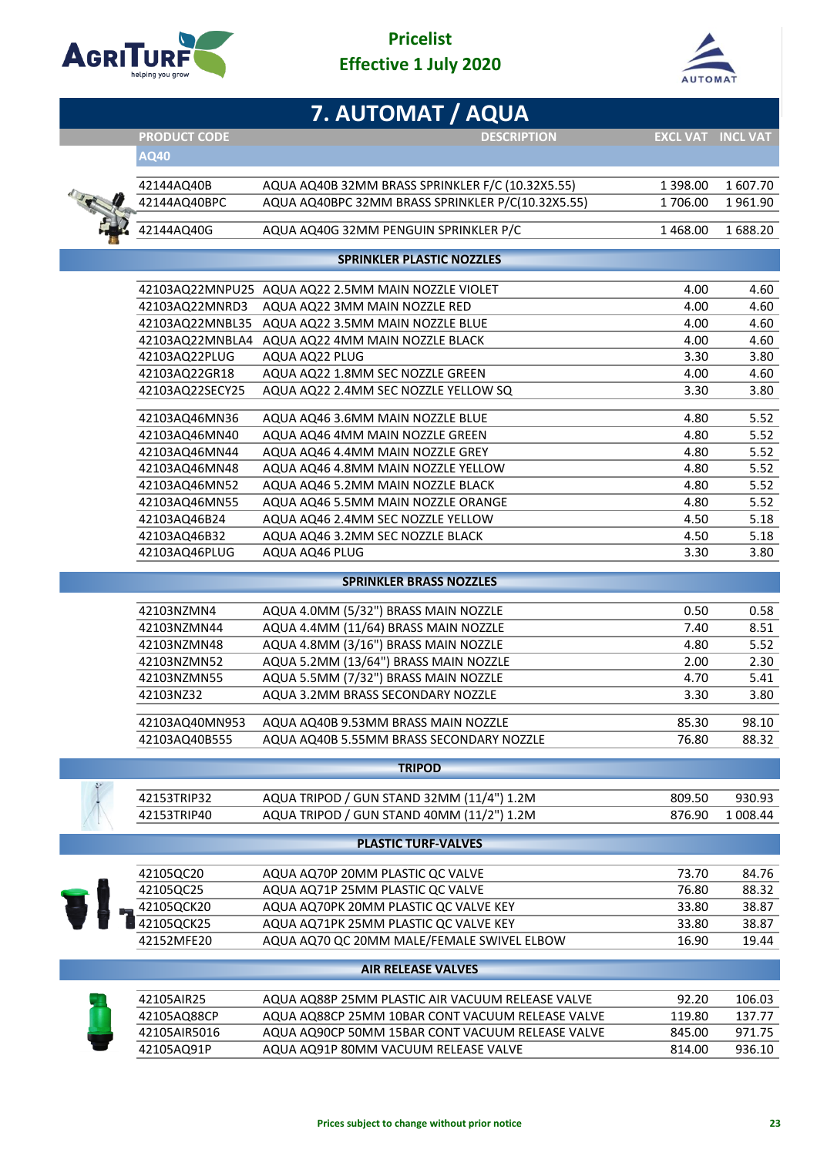

г

### **Pricelist Effective 1 July 2020**



|                               | 7. AUTOMAT / AQUA                                  |                 |                 |
|-------------------------------|----------------------------------------------------|-----------------|-----------------|
| <b>PRODUCT CODE</b>           | <b>DESCRIPTION</b>                                 | <b>EXCL VAT</b> | <b>INCL VAT</b> |
| AQ40                          |                                                    |                 |                 |
| 42144AQ40B                    | AQUA AQ40B 32MM BRASS SPRINKLER F/C (10.32X5.55)   | 1 398.00        | 1607.70         |
| 42144AQ40BPC                  | AQUA AQ40BPC 32MM BRASS SPRINKLER P/C(10.32X5.55)  | 1706.00         | 1961.90         |
|                               |                                                    |                 |                 |
| 42144AQ40G                    | AQUA AQ40G 32MM PENGUIN SPRINKLER P/C              | 1 468.00        | 1688.20         |
|                               | <b>SPRINKLER PLASTIC NOZZLES</b>                   |                 |                 |
|                               | 42103AQ22MNPU25 AQUA AQ22 2.5MM MAIN NOZZLE VIOLET | 4.00            | 4.60            |
| 42103AQ22MNRD3                | AQUA AQ22 3MM MAIN NOZZLE RED                      | 4.00            | 4.60            |
|                               | 42103AQ22MNBL35 AQUA AQ22 3.5MM MAIN NOZZLE BLUE   | 4.00            | 4.60            |
|                               | 42103AQ22MNBLA4 AQUA AQ22 4MM MAIN NOZZLE BLACK    | 4.00            | 4.60            |
| 42103AQ22PLUG                 | AQUA AQ22 PLUG                                     | 3.30            | 3.80            |
| 42103AQ22GR18                 | AQUA AQ22 1.8MM SEC NOZZLE GREEN                   | 4.00            | 4.60            |
| 42103AQ22SECY25               | AQUA AQ22 2.4MM SEC NOZZLE YELLOW SQ               | 3.30            | 3.80            |
| 42103AQ46MN36                 | AQUA AQ46 3.6MM MAIN NOZZLE BLUE                   | 4.80            | 5.52            |
| 42103AQ46MN40                 | AQUA AQ46 4MM MAIN NOZZLE GREEN                    | 4.80            | 5.52            |
| 42103AQ46MN44                 | AQUA AQ46 4.4MM MAIN NOZZLE GREY                   | 4.80            | 5.52            |
| 42103AQ46MN48                 | AQUA AQ46 4.8MM MAIN NOZZLE YELLOW                 | 4.80            | 5.52            |
| 42103AQ46MN52                 | AQUA AQ46 5.2MM MAIN NOZZLE BLACK                  | 4.80            | 5.52            |
| 42103AQ46MN55                 | AQUA AQ46 5.5MM MAIN NOZZLE ORANGE                 | 4.80            | 5.52            |
| 42103AQ46B24                  | AQUA AQ46 2.4MM SEC NOZZLE YELLOW                  | 4.50            | 5.18            |
| 42103AQ46B32<br>42103AQ46PLUG | AQUA AQ46 3.2MM SEC NOZZLE BLACK<br>AQUA AQ46 PLUG | 4.50<br>3.30    | 5.18<br>3.80    |
|                               |                                                    |                 |                 |
|                               | <b>SPRINKLER BRASS NOZZLES</b>                     |                 |                 |
| 42103NZMN4                    | AQUA 4.0MM (5/32") BRASS MAIN NOZZLE               | 0.50            | 0.58            |
| 42103NZMN44                   | AQUA 4.4MM (11/64) BRASS MAIN NOZZLE               | 7.40            | 8.51            |
| 42103NZMN48                   | AQUA 4.8MM (3/16") BRASS MAIN NOZZLE               | 4.80            | 5.52            |
| 42103NZMN52                   | AQUA 5.2MM (13/64") BRASS MAIN NOZZLE              | 2.00            | 2.30            |
| 42103NZMN55                   | AQUA 5.5MM (7/32") BRASS MAIN NOZZLE               | 4.70            | 5.41            |
| 42103NZ32                     | AQUA 3.2MM BRASS SECONDARY NOZZLE                  | 3.30            | 3.80            |
| 42103AQ40MN953                | AQUA AQ40B 9.53MM BRASS MAIN NOZZLE                | 85.30           | 98.10           |
| 42103AQ40B555                 | AQUA AQ40B 5.55MM BRASS SECONDARY NOZZLE           | 76.80           | 88.32           |
|                               | <b>TRIPOD</b>                                      |                 |                 |
| 42153TRIP32                   | AQUA TRIPOD / GUN STAND 32MM (11/4") 1.2M          | 809.50          | 930.93          |
| 42153TRIP40                   | AQUA TRIPOD / GUN STAND 40MM (11/2") 1.2M          | 876.90          | 1 008.44        |
|                               | <b>PLASTIC TURF-VALVES</b>                         |                 |                 |
|                               |                                                    |                 |                 |
| 42105QC20                     | AQUA AQ70P 20MM PLASTIC QC VALVE                   | 73.70           | 84.76           |
| 42105QC25                     | AQUA AQ71P 25MM PLASTIC QC VALVE                   | 76.80           | 88.32           |
| 42105QCK20                    | AQUA AQ70PK 20MM PLASTIC QC VALVE KEY              | 33.80           | 38.87           |
| 42105QCK25                    | AQUA AQ71PK 25MM PLASTIC QC VALVE KEY              | 33.80           | 38.87           |
| 42152MFE20                    | AQUA AQ70 QC 20MM MALE/FEMALE SWIVEL ELBOW         | 16.90           | 19.44           |
|                               | <b>AIR RELEASE VALVES</b>                          |                 |                 |
| 42105AIR25                    | AQUA AQ88P 25MM PLASTIC AIR VACUUM RELEASE VALVE   | 92.20           | 106.03          |
| 42105AQ88CP                   | AQUA AQ88CP 25MM 10BAR CONT VACUUM RELEASE VALVE   | 119.80          | 137.77          |
| 42105AIR5016                  | AQUA AQ90CP 50MM 15BAR CONT VACUUM RELEASE VALVE   | 845.00          | 971.75          |
| 42105AQ91P                    | AQUA AQ91P 80MM VACUUM RELEASE VALVE               | 814.00          | 936.10          |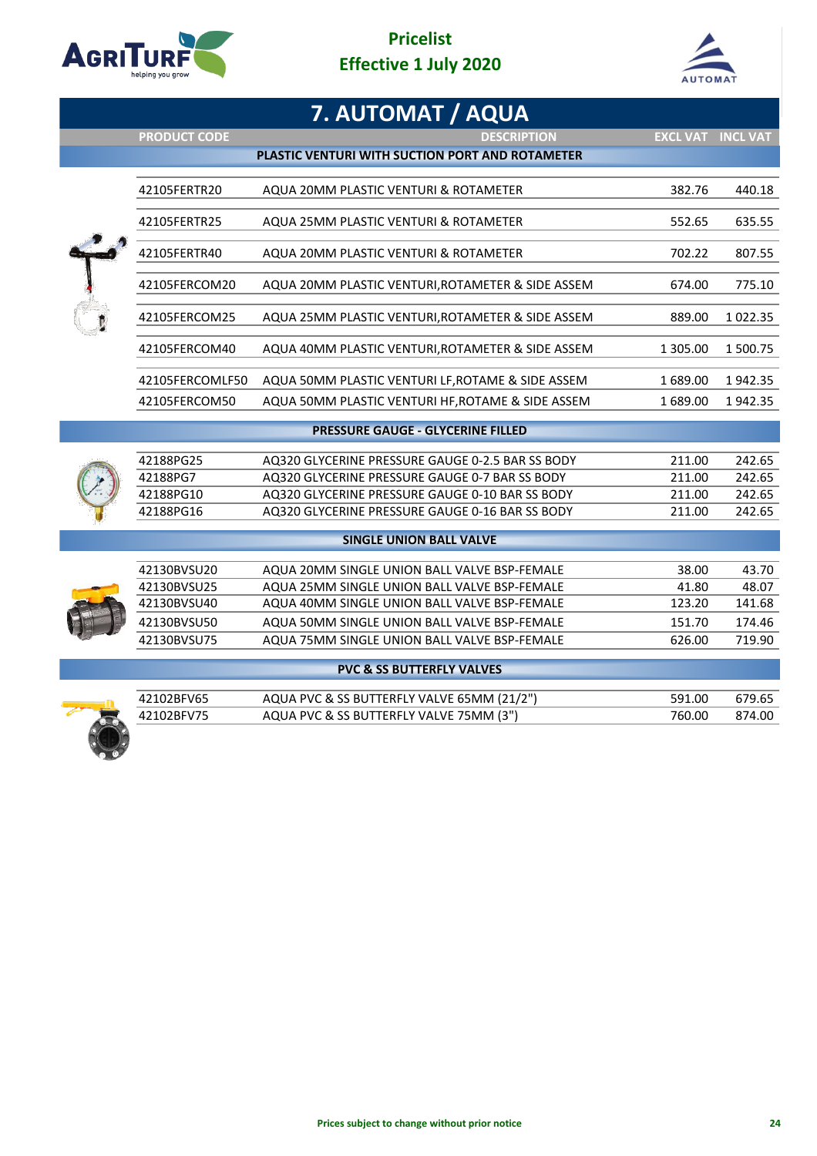

## **Pricelist Effective 1 July 2020**



|                     | 7. AUTOMAT / AQUA                                 |                          |               |
|---------------------|---------------------------------------------------|--------------------------|---------------|
| <b>PRODUCT CODE</b> | <b>DESCRIPTION</b>                                | <b>EXCL VAT INCL VAT</b> |               |
|                     | PLASTIC VENTURI WITH SUCTION PORT AND ROTAMETER   |                          |               |
| 42105FERTR20        | AQUA 20MM PLASTIC VENTURI & ROTAMETER             | 382.76                   | 440.18        |
| 42105FERTR25        | AQUA 25MM PLASTIC VENTURI & ROTAMETER             | 552.65                   | 635.55        |
| 42105FERTR40        | AQUA 20MM PLASTIC VENTURI & ROTAMETER             | 702.22                   | 807.55        |
| 42105FERCOM20       | AQUA 20MM PLASTIC VENTURI, ROTAMETER & SIDE ASSEM | 674.00                   | 775.10        |
| 42105FERCOM25       | AQUA 25MM PLASTIC VENTURI, ROTAMETER & SIDE ASSEM | 889.00                   | 1 0 2 2 . 3 5 |
| 42105FERCOM40       | AQUA 40MM PLASTIC VENTURI, ROTAMETER & SIDE ASSEM | 1 305.00                 | 1 500.75      |
| 42105FERCOMLF50     | AQUA 50MM PLASTIC VENTURI LF, ROTAME & SIDE ASSEM | 1689.00                  | 1942.35       |
| 42105FERCOM50       | AQUA 50MM PLASTIC VENTURI HF, ROTAME & SIDE ASSEM | 1 689.00                 | 1942.35       |
|                     | <b>PRESSURE GAUGE - GLYCERINE FILLED</b>          |                          |               |
| 42188PG25           | AQ320 GLYCERINE PRESSURE GAUGE 0-2.5 BAR SS BODY  | 211.00                   | 242.65        |
| 42188PG7            | AQ320 GLYCERINE PRESSURE GAUGE 0-7 BAR SS BODY    | 211.00                   | 242.65        |
| 42188PG10           | AQ320 GLYCERINE PRESSURE GAUGE 0-10 BAR SS BODY   | 211.00                   | 242.65        |
| 42188PG16           | AQ320 GLYCERINE PRESSURE GAUGE 0-16 BAR SS BODY   | 211.00                   | 242.65        |
|                     | <b>SINGLE UNION BALL VALVE</b>                    |                          |               |
| 42130BVSU20         | AQUA 20MM SINGLE UNION BALL VALVE BSP-FEMALE      | 38.00                    | 43.70         |
| 42130BVSU25         | AQUA 25MM SINGLE UNION BALL VALVE BSP-FEMALE      | 41.80                    | 48.07         |
| 42130BVSU40         | AQUA 40MM SINGLE UNION BALL VALVE BSP-FEMALE      | 123.20                   | 141.68        |
| 42130BVSU50         | AQUA 50MM SINGLE UNION BALL VALVE BSP-FEMALE      | 151.70                   | 174.46        |
| 42130BVSU75         | AQUA 75MM SINGLE UNION BALL VALVE BSP-FEMALE      | 626.00                   | 719.90        |
|                     | <b>PVC &amp; SS BUTTERFLY VALVES</b>              |                          |               |
|                     |                                                   |                          |               |



| 42102BFV65 | AQUA PVC & SS BUTTERFLY VALVE 65MM (21/2") | 591.00 |        |
|------------|--------------------------------------------|--------|--------|
| 42102BFV75 | AQUA PVC & SS BUTTERFLY VALVE 75MM (3")    | 760.00 | 874.00 |
|            |                                            |        |        |